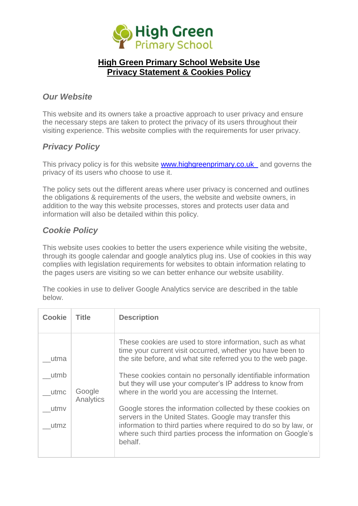

## **High Green Primary School Website Use Privacy Statement & Cookies Policy**

### *Our Website*

This website and its owners take a proactive approach to user privacy and ensure the necessary steps are taken to protect the privacy of its users throughout their visiting experience. This website complies with the requirements for user privacy.

## *Privacy Policy*

This privacy policy is for this website [www.highgreenprimary.co.uk](www.highgreenprimary.co.uk%20%20%20) and governs the privacy of its users who choose to use it.

The policy sets out the different areas where user privacy is concerned and outlines the obligations & requirements of the users, the website and website owners, in addition to the way this website processes, stores and protects user data and information will also be detailed within this policy.

## *Cookie Policy*

This website uses cookies to better the users experience while visiting the website, through its google calendar and google analytics plug ins. Use of cookies in this way complies with legislation requirements for websites to obtain information relating to the pages users are visiting so we can better enhance our website usability.

The cookies in use to deliver Google Analytics service are described in the table below.

| <b>Cookie</b> | Title               | <b>Description</b>                                                                                                                                                                                                                                                  |
|---------------|---------------------|---------------------------------------------------------------------------------------------------------------------------------------------------------------------------------------------------------------------------------------------------------------------|
| utma          |                     | These cookies are used to store information, such as what<br>time your current visit occurred, whether you have been to<br>the site before, and what site referred you to the web page.                                                                             |
| utmb<br>utmc  | Google<br>Analytics | These cookies contain no personally identifiable information<br>but they will use your computer's IP address to know from<br>where in the world you are accessing the Internet.                                                                                     |
| utmy<br>utmz  |                     | Google stores the information collected by these cookies on<br>servers in the United States. Google may transfer this<br>information to third parties where required to do so by law, or<br>where such third parties process the information on Google's<br>behalf. |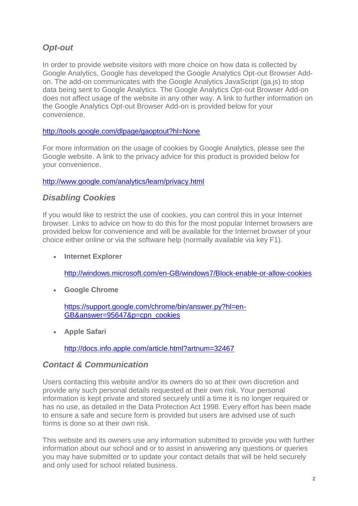# *Opt-out*

In order to provide website visitors with more choice on how data is collected by Google Analytics, Google has developed the Google Analytics Opt-out Browser Addon. The add-on communicates with the Google Analytics JavaScript (ga.js) to stop data being sent to Google Analytics. The Google Analytics Opt-out Browser Add-on does not affect usage of the website in any other way. A link to further information on the Google Analytics Opt-out Browser Add-on is provided below for your convenience.

### <http://tools.google.com/dlpage/gaoptout?hl=None>

For more information on the usage of cookies by Google Analytics, please see the Google website. A link to the privacy advice for this product is provided below for your convenience.

#### <http://www.google.com/analytics/learn/privacy.html>

### *Disabling Cookies*

If you would like to restrict the use of cookies, you can control this in your Internet browser. Links to advice on how to do this for the most popular Internet browsers are provided below for convenience and will be available for the Internet browser of your choice either online or via the software help (normally available via key F1).

**Internet Explorer**

<http://windows.microsoft.com/en-GB/windows7/Block-enable-or-allow-cookies>

**Google Chrome**

[https://support.google.com/chrome/bin/answer.py?hl=en-](https://support.google.com/chrome/bin/answer.py?hl=en-GB&answer=95647&p=cpn_cookies)[GB&answer=95647&p=cpn\\_cookies](https://support.google.com/chrome/bin/answer.py?hl=en-GB&answer=95647&p=cpn_cookies)

**Apple Safari**

<http://docs.info.apple.com/article.html?artnum=32467>

## *Contact & Communication*

Users contacting this website and/or its owners do so at their own discretion and provide any such personal details requested at their own risk. Your personal information is kept private and stored securely until a time it is no longer required or has no use, as detailed in the Data Protection Act 1998. Every effort has been made to ensure a safe and secure form is provided but users are advised use of such forms is done so at their own risk.

This website and its owners use any information submitted to provide you with further information about our school and or to assist in answering any questions or queries you may have submitted or to update your contact details that will be held securely and only used for school related business.